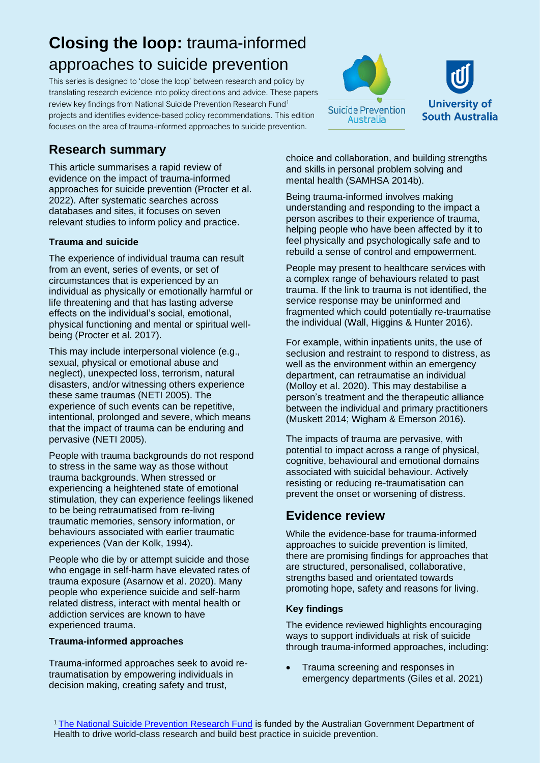# **Closing the loop:** trauma-informed approaches to suicide prevention

This series is designed to 'close the loop' between research and policy by translating research evidence into policy directions and advice. These papers review key findings from National Suicide Prevention Research Fund<sup>1</sup> projects and identifies evidence-based policy recommendations. This edition focuses on the area of trauma-informed approaches to suicide prevention.





# **Research summary**

This article summarises a rapid review of evidence on the impact of trauma-informed approaches for suicide prevention (Procter et al. 2022). After systematic searches across databases and sites, it focuses on seven relevant studies to inform policy and practice.

#### **Trauma and suicide**

The experience of individual trauma can result from an event, series of events, or set of circumstances that is experienced by an individual as physically or emotionally harmful or life threatening and that has lasting adverse effects on the individual's social, emotional, physical functioning and mental or spiritual wellbeing (Procter et al. 2017).

This may include interpersonal violence (e.g., sexual, physical or emotional abuse and neglect), unexpected loss, terrorism, natural disasters, and/or witnessing others experience these same traumas (NETI 2005). The experience of such events can be repetitive, intentional, prolonged and severe, which means that the impact of trauma can be enduring and pervasive (NETI 2005).

People with trauma backgrounds do not respond to stress in the same way as those without trauma backgrounds. When stressed or experiencing a heightened state of emotional stimulation, they can experience feelings likened to be being retraumatised from re-living traumatic memories, sensory information, or behaviours associated with earlier traumatic experiences (Van der Kolk, 1994).

People who die by or attempt suicide and those who engage in self-harm have elevated rates of trauma exposure (Asarnow et al. 2020). Many people who experience suicide and self-harm related distress, interact with mental health or addiction services are known to have experienced trauma.

#### **Trauma-informed approaches**

Trauma-informed approaches seek to avoid retraumatisation by empowering individuals in decision making, creating safety and trust,

choice and collaboration, and building strengths and skills in personal problem solving and mental health (SAMHSA 2014b).

Being trauma-informed involves making understanding and responding to the impact a person ascribes to their experience of trauma, helping people who have been affected by it to feel physically and psychologically safe and to rebuild a sense of control and empowerment.

People may present to healthcare services with a complex range of behaviours related to past trauma. If the link to trauma is not identified, the service response may be uninformed and fragmented which could potentially re-traumatise the individual (Wall, Higgins & Hunter 2016).

For example, within inpatients units, the use of seclusion and restraint to respond to distress, as well as the environment within an emergency department, can retraumatise an individual (Molloy et al. 2020). This may destabilise a person's treatment and the therapeutic alliance between the individual and primary practitioners (Muskett 2014; Wigham & Emerson 2016).

The impacts of trauma are pervasive, with potential to impact across a range of physical, cognitive, behavioural and emotional domains associated with suicidal behaviour. Actively resisting or reducing re-traumatisation can prevent the onset or worsening of distress.

# **Evidence review**

While the evidence-base for trauma-informed approaches to suicide prevention is limited, there are promising findings for approaches that are structured, personalised, collaborative, strengths based and orientated towards promoting hope, safety and reasons for living.

#### **Key findings**

The evidence reviewed highlights encouraging ways to support individuals at risk of suicide through trauma-informed approaches, including:

• Trauma screening and responses in emergency departments (Giles et al. 2021)

<sup>1</sup> [The National Suicide Prevention Research Fund](https://www.suicidepreventionaust.org/research-grants/) is funded by the Australian Government Department of Health to drive world-class research and build best practice in suicide prevention.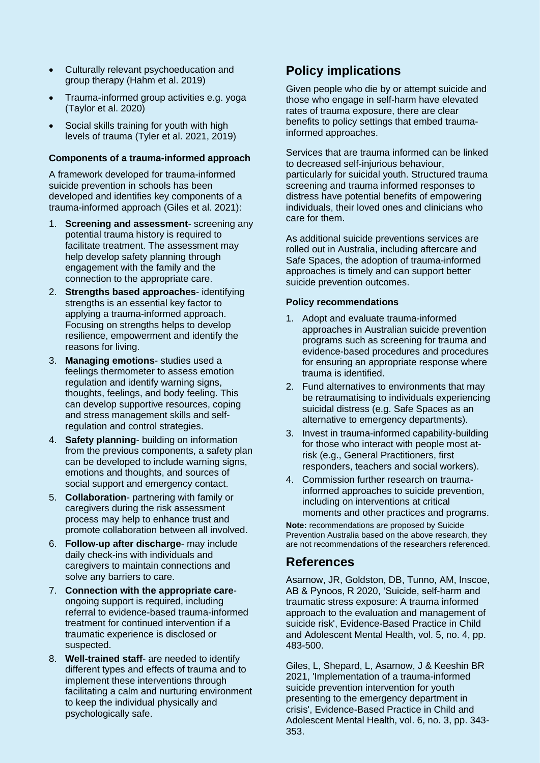- Culturally relevant psychoeducation and group therapy (Hahm et al. 2019)
- Trauma-informed group activities e.g. yoga (Taylor et al. 2020)
- Social skills training for youth with high levels of trauma (Tyler et al. 2021, 2019)

#### **Components of a trauma-informed approach**

A framework developed for trauma-informed suicide prevention in schools has been developed and identifies key components of a trauma-informed approach (Giles et al. 2021):

- 1. **Screening and assessment** screening any potential trauma history is required to facilitate treatment. The assessment may help develop safety planning through engagement with the family and the connection to the appropriate care.
- 2. **Strengths based approaches** identifying strengths is an essential key factor to applying a trauma-informed approach. Focusing on strengths helps to develop resilience, empowerment and identify the reasons for living.
- 3. **Managing emotions** studies used a feelings thermometer to assess emotion regulation and identify warning signs, thoughts, feelings, and body feeling. This can develop supportive resources, coping and stress management skills and selfregulation and control strategies.
- 4. **Safety planning** building on information from the previous components, a safety plan can be developed to include warning signs, emotions and thoughts, and sources of social support and emergency contact.
- 5. **Collaboration** partnering with family or caregivers during the risk assessment process may help to enhance trust and promote collaboration between all involved.
- 6. **Follow-up after discharge** may include daily check-ins with individuals and caregivers to maintain connections and solve any barriers to care.
- 7. **Connection with the appropriate care**ongoing support is required, including referral to evidence-based trauma-informed treatment for continued intervention if a traumatic experience is disclosed or suspected.
- 8. **Well-trained staff** are needed to identify different types and effects of trauma and to implement these interventions through facilitating a calm and nurturing environment to keep the individual physically and psychologically safe.

# **Policy implications**

Given people who die by or attempt suicide and those who engage in self-harm have elevated rates of trauma exposure, there are clear benefits to policy settings that embed traumainformed approaches.

Services that are trauma informed can be linked to decreased self-injurious behaviour, particularly for suicidal youth. Structured trauma screening and trauma informed responses to distress have potential benefits of empowering individuals, their loved ones and clinicians who care for them.

As additional suicide preventions services are rolled out in Australia, including aftercare and Safe Spaces, the adoption of trauma-informed approaches is timely and can support better suicide prevention outcomes.

#### **Policy recommendations**

- 1. Adopt and evaluate trauma-informed approaches in Australian suicide prevention programs such as screening for trauma and evidence-based procedures and procedures for ensuring an appropriate response where trauma is identified.
- 2. Fund alternatives to environments that may be retraumatising to individuals experiencing suicidal distress (e.g. Safe Spaces as an alternative to emergency departments).
- 3. Invest in trauma-informed capability-building for those who interact with people most atrisk (e.g., General Practitioners, first responders, teachers and social workers).
- 4. Commission further research on traumainformed approaches to suicide prevention, including on interventions at critical moments and other practices and programs.

**Note:** recommendations are proposed by Suicide Prevention Australia based on the above research, they are not recommendations of the researchers referenced.

# **References**

Asarnow, JR, Goldston, DB, Tunno, AM, Inscoe, AB & Pynoos, R 2020, 'Suicide, self-harm and traumatic stress exposure: A trauma informed approach to the evaluation and management of suicide risk', Evidence-Based Practice in Child and Adolescent Mental Health, vol. 5, no. 4, pp. 483-500.

Giles, L, Shepard, L, Asarnow, J & Keeshin BR 2021, 'Implementation of a trauma-informed suicide prevention intervention for youth presenting to the emergency department in crisis', Evidence-Based Practice in Child and Adolescent Mental Health, vol. 6, no. 3, pp. 343- 353.